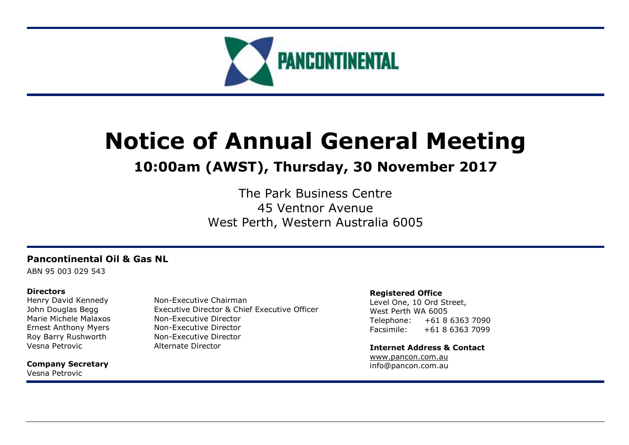

# **Notice of Annual General Meeting**

## **10:00am (AWST), Thursday, 30 November 2017**

The Park Business Centre 45 Ventnor Avenue West Perth, Western Australia 6005

## **Pancontinental Oil & Gas NL**

ABN 95 003 029 543

## **Directors**

Vesna Petrovic **Alternate Director** 

**Company Secretary** Vesna Petrovic

Henry David Kennedy Non-Executive Chairman John Douglas Begg Executive Director & Chief Executive Officer Marie Michele Malaxos Non-Executive Director Ernest Anthony Myers Non-Executive Director Roy Barry Rushworth Non-Executive Director

## **Registered Office**

Level One, 10 Ord Street, West Perth WA 6005 Telephone: +61 8 6363 7090 Facsimile: +61 8 6363 7099

**Internet Address & Contact** [www.pancon.com.au](http://www.pancon.com.au/) info@pancon.com.au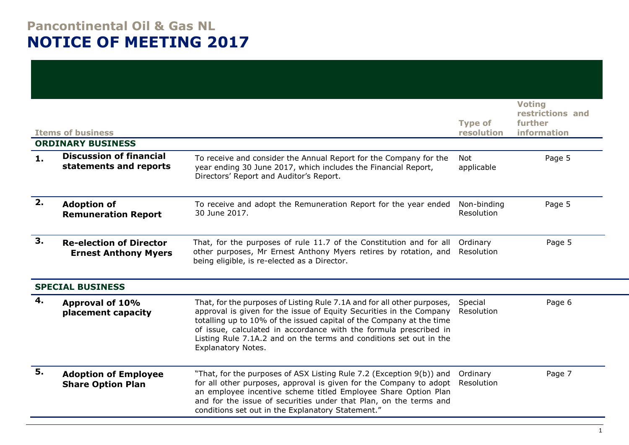## **Pancontinental Oil & Gas NL NOTICE OF MEETING 2017**

|    | <b>Items of business</b>                                      |                                                                                                                                                                                                                                                                                                                                                                                         | <b>Type of</b><br>resolution | <b>Voting</b><br>restrictions and<br>further<br>information |
|----|---------------------------------------------------------------|-----------------------------------------------------------------------------------------------------------------------------------------------------------------------------------------------------------------------------------------------------------------------------------------------------------------------------------------------------------------------------------------|------------------------------|-------------------------------------------------------------|
|    | <b>ORDINARY BUSINESS</b><br><b>Discussion of financial</b>    |                                                                                                                                                                                                                                                                                                                                                                                         |                              |                                                             |
| 1. | statements and reports                                        | To receive and consider the Annual Report for the Company for the<br>year ending 30 June 2017, which includes the Financial Report,<br>Directors' Report and Auditor's Report.                                                                                                                                                                                                          | <b>Not</b><br>applicable     | Page 5                                                      |
| 2. | <b>Adoption of</b><br><b>Remuneration Report</b>              | To receive and adopt the Remuneration Report for the year ended<br>30 June 2017.                                                                                                                                                                                                                                                                                                        | Non-binding<br>Resolution    | Page 5                                                      |
| 3. | <b>Re-election of Director</b><br><b>Ernest Anthony Myers</b> | That, for the purposes of rule 11.7 of the Constitution and for all<br>other purposes, Mr Ernest Anthony Myers retires by rotation, and<br>being eligible, is re-elected as a Director.                                                                                                                                                                                                 | Ordinary<br>Resolution       | Page 5                                                      |
|    | <b>SPECIAL BUSINESS</b>                                       |                                                                                                                                                                                                                                                                                                                                                                                         |                              |                                                             |
| 4. | Approval of 10%<br>placement capacity                         | That, for the purposes of Listing Rule 7.1A and for all other purposes,<br>approval is given for the issue of Equity Securities in the Company<br>totalling up to 10% of the issued capital of the Company at the time<br>of issue, calculated in accordance with the formula prescribed in<br>Listing Rule 7.1A.2 and on the terms and conditions set out in the<br>Explanatory Notes. | Special<br>Resolution        | Page 6                                                      |
| 5. | <b>Adoption of Employee</b><br><b>Share Option Plan</b>       | "That, for the purposes of ASX Listing Rule 7.2 (Exception 9(b)) and<br>for all other purposes, approval is given for the Company to adopt<br>an employee incentive scheme titled Employee Share Option Plan<br>and for the issue of securities under that Plan, on the terms and<br>conditions set out in the Explanatory Statement."                                                  | Ordinary<br>Resolution       | Page 7                                                      |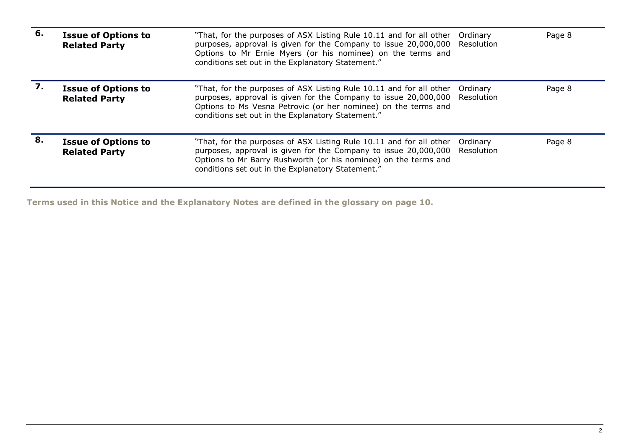| 6. | <b>Issue of Options to</b><br><b>Related Party</b> | "That, for the purposes of ASX Listing Rule 10.11 and for all other<br>purposes, approval is given for the Company to issue 20,000,000<br>Options to Mr Ernie Myers (or his nominee) on the terms and<br>conditions set out in the Explanatory Statement."     | Ordinary<br>Resolution | Page 8 |
|----|----------------------------------------------------|----------------------------------------------------------------------------------------------------------------------------------------------------------------------------------------------------------------------------------------------------------------|------------------------|--------|
|    | <b>Issue of Options to</b><br><b>Related Party</b> | "That, for the purposes of ASX Listing Rule 10.11 and for all other<br>purposes, approval is given for the Company to issue 20,000,000<br>Options to Ms Vesna Petrovic (or her nominee) on the terms and<br>conditions set out in the Explanatory Statement."  | Ordinary<br>Resolution | Page 8 |
| 8. | <b>Issue of Options to</b><br><b>Related Party</b> | "That, for the purposes of ASX Listing Rule 10.11 and for all other<br>purposes, approval is given for the Company to issue 20,000,000<br>Options to Mr Barry Rushworth (or his nominee) on the terms and<br>conditions set out in the Explanatory Statement." | Ordinary<br>Resolution | Page 8 |

**Terms used in this Notice and the Explanatory Notes are defined in the glossary on page 10.**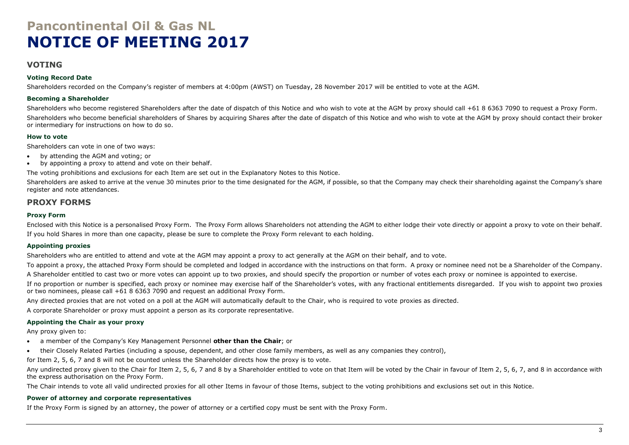## **Pancontinental Oil & Gas NL NOTICE OF MEETING 2017**

## **VOTING**

## **Voting Record Date**

Shareholders recorded on the Company's register of members at 4:00pm (AWST) on Tuesday, 28 November 2017 will be entitled to vote at the AGM.

## **Becoming a Shareholder**

Shareholders who become registered Shareholders after the date of dispatch of this Notice and who wish to vote at the AGM by proxy should call +61 8 6363 7090 to request a Proxy Form. Shareholders who become beneficial shareholders of Shares by acquiring Shares after the date of dispatch of this Notice and who wish to vote at the AGM by proxy should contact their broker or intermediary for instructions on how to do so.

## **How to vote**

Shareholders can vote in one of two ways:

- by attending the AGM and voting; or
- by appointing a proxy to attend and vote on their behalf.

The voting prohibitions and exclusions for each Item are set out in the Explanatory Notes to this Notice.

Shareholders are asked to arrive at the venue 30 minutes prior to the time designated for the AGM, if possible, so that the Company may check their shareholding against the Company's share register and note attendances.

## **PROXY FORMS**

### **Proxy Form**

Enclosed with this Notice is a personalised Proxy Form. The Proxy Form allows Shareholders not attending the AGM to either lodge their vote directly or appoint a proxy to vote on their behalf. If you hold Shares in more than one capacity, please be sure to complete the Proxy Form relevant to each holding.

## **Appointing proxies**

Shareholders who are entitled to attend and vote at the AGM may appoint a proxy to act generally at the AGM on their behalf, and to vote.

To appoint a proxy, the attached Proxy Form should be completed and lodged in accordance with the instructions on that form. A proxy or nominee need not be a Shareholder of the Company.

A Shareholder entitled to cast two or more votes can appoint up to two proxies, and should specify the proportion or number of votes each proxy or nominee is appointed to exercise.

If no proportion or number is specified, each proxy or nominee may exercise half of the Shareholder's votes, with any fractional entitlements disregarded. If you wish to appoint two proxies or two nominees, please call +61 8 6363 7090 and request an additional Proxy Form.

Any directed proxies that are not voted on a poll at the AGM will automatically default to the Chair, who is required to vote proxies as directed.

A corporate Shareholder or proxy must appoint a person as its corporate representative.

## **Appointing the Chair as your proxy**

Any proxy given to:

- a member of the Company's Key Management Personnel **other than the Chair**; or
- their Closely Related Parties (including a spouse, dependent, and other close family members, as well as any companies they control),

for Item 2, 5, 6, 7 and 8 will not be counted unless the Shareholder directs how the proxy is to vote.

Any undirected proxy given to the Chair for Item 2, 5, 6, 7 and 8 by a Shareholder entitled to vote on that Item will be voted by the Chair in favour of Item 2, 5, 6, 7, and 8 in accordance with the express authorisation on the Proxy Form.

The Chair intends to vote all valid undirected proxies for all other Items in favour of those Items, subject to the voting prohibitions and exclusions set out in this Notice.

## **Power of attorney and corporate representatives**

If the Proxy Form is signed by an attorney, the power of attorney or a certified copy must be sent with the Proxy Form.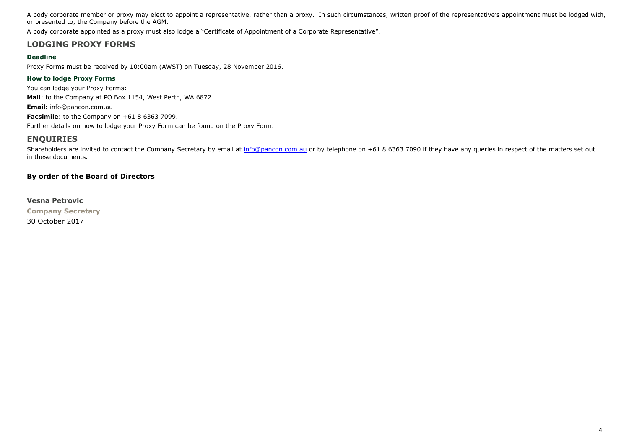A body corporate member or proxy may elect to appoint a representative, rather than a proxy. In such circumstances, written proof of the representative's appointment must be lodged with, or presented to, the Company before the AGM.

A body corporate appointed as a proxy must also lodge a "Certificate of Appointment of a Corporate Representative".

## **LODGING PROXY FORMS**

## **Deadline**

Proxy Forms must be received by 10:00am (AWST) on Tuesday, 28 November 2016.

## **How to lodge Proxy Forms**

You can lodge your Proxy Forms: **Mail**: to the Company at PO Box 1154, West Perth, WA 6872. **Email:** info@pancon.com.au **Facsimile**: to the Company on +61 8 6363 7099. Further details on how to lodge your Proxy Form can be found on the Proxy Form.

## **ENQUIRIES**

Shareholders are invited to contact the Company Secretary by email at [info@pancon.com.au](mailto:info@pancon.com.au) or by telephone on +61 8 6363 7090 if they have any queries in respect of the matters set out in these documents.

## **By order of the Board of Directors**

**Vesna Petrovic Company Secretary** 30 October 2017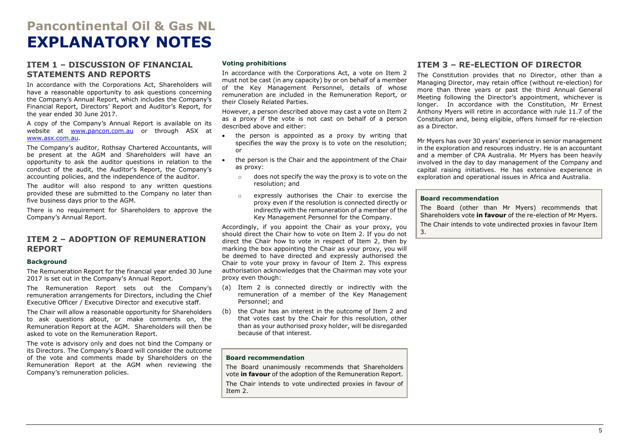## **Pancontinental Oil & Gas NL EXPLANATORY NOTES**

## <span id="page-5-0"></span>**ITEM 1 – DISCUSSION OF FINANCIAL STATEMENTS AND REPORTS**

In accordance with the Corporations Act, Shareholders will have a reasonable opportunity to ask questions concerning the Company's Annual Report, which includes the Company's Financial Report, Directors' Report and Auditor's Report, for the year ended 30 June 2017.

A copy of the Company's Annual Report is available on its website at [www.pancon.com.au](http://www.pancon.com.au/) or through ASX at [www.asx.com.au.](http://www.asx.com.au/)

The Company's auditor, Rothsay Chartered Accountants, will be present at the AGM and Shareholders will have an opportunity to ask the auditor questions in relation to the conduct of the audit, the Auditor's Report, the Company's accounting policies, and the independence of the auditor.

The auditor will also respond to any written questions provided these are submitted to the Company no later than five business days prior to the AGM.

There is no requirement for Shareholders to approve the Company's Annual Report.

## <span id="page-5-1"></span>**ITEM 2 – ADOPTION OF REMUNERATION REPORT**

### **Background**

The Remuneration Report for the financial year ended 30 June 2017 is set out in the Company's Annual Report.

The Remuneration Report sets out the Company's remuneration arrangements for Directors, including the Chief Executive Officer / Executive Director and executive staff.

The Chair will allow a reasonable opportunity for Shareholders to ask questions about, or make comments on, the Remuneration Report at the AGM. Shareholders will then be asked to vote on the Remuneration Report.

The vote is advisory only and does not bind the Company or its Directors. The Company's Board will consider the outcome of the vote and comments made by Shareholders on the Remuneration Report at the AGM when reviewing the Company's remuneration policies.

#### **Voting prohibitions**

In accordance with the Corporations Act, a vote on Item 2 must not be cast (in any capacity) by or on behalf of a member of the Key Management Personnel, details of whose remuneration are included in the Remuneration Report, or their Closely Related Parties.

However, a person described above may cast a vote on Item 2 as a proxy if the vote is not cast on behalf of a person described above and either:

- the person is appointed as a proxy by writing that specifies the way the proxy is to vote on the resolution; or
- the person is the Chair and the appointment of the Chair as proxy:
	- o does not specify the way the proxy is to vote on the resolution; and
	- expressly authorises the Chair to exercise the proxy even if the resolution is connected directly or indirectly with the remuneration of a member of the Key Management Personnel for the Company.

Accordingly, if you appoint the Chair as your proxy, you should direct the Chair how to vote on Item 2. If you do not direct the Chair how to vote in respect of Item 2, then by marking the box appointing the Chair as your proxy, you will be deemed to have directed and expressly authorised the Chair to vote your proxy in favour of Item 2. This express authorisation acknowledges that the Chairman may vote your proxy even though:

- (a) Item 2 is connected directly or indirectly with the remuneration of a member of the Key Management Personnel; and
- (b) the Chair has an interest in the outcome of Item 2 and that votes cast by the Chair for this resolution, other than as your authorised proxy holder, will be disregarded because of that interest.

#### **Board recommendation**

The Board unanimously recommends that Shareholders vote **in favour** of the adoption of the Remuneration Report.

The Chair intends to vote undirected proxies in favour of Item 2.

## <span id="page-5-2"></span>**ITEM 3 – RE-ELECTION OF DIRECTOR**

The Constitution provides that no Director, other than a Managing Director, may retain office (without re-election) for more than three years or past the third Annual General Meeting following the Director's appointment, whichever is longer. In accordance with the Constitution, Mr Ernest Anthony Myers will retire in accordance with rule 11.7 of the Constitution and, being eligible, offers himself for re-election as a Director.

Mr Myers has over 30 years' experience in senior management in the exploration and resources industry. He is an accountant and a member of CPA Australia. Mr Myers has been heavily involved in the day to day management of the Company and capital raising initiatives. He has extensive experience in exploration and operational issues in Africa and Australia.

#### **Board recommendation**

The Board (other than Mr Myers) recommends that Shareholders vote **in favour** of the re-election of Mr Myers. The Chair intends to vote undirected proxies in favour Item 3.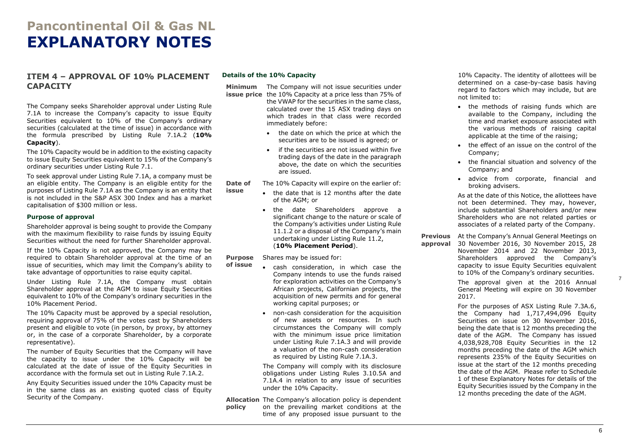## **Pancontinental Oil & Gas NL EXPLANATORY NOTES**

## <span id="page-6-0"></span>**ITEM 4 – APPROVAL OF 10% PLACEMENT CAPACITY**

The Company seeks Shareholder approval under Listing Rule 7.1A to increase the Company's capacity to issue Equity Securities equivalent to 10% of the Company's ordinary securities (calculated at the time of issue) in accordance with the formula prescribed by Listing Rule 7.1A.2 (**10% Capacity**).

The 10% Capacity would be in addition to the existing capacity to issue Equity Securities equivalent to 15% of the Company's ordinary securities under Listing Rule 7.1.

To seek approval under Listing Rule 7.1A, a company must be an eligible entity. The Company is an eligible entity for the purposes of Listing Rule 7.1A as the Company is an entity that is not included in the S&P ASX 300 Index and has a market capitalisation of \$300 million or less.

#### **Purpose of approval**

Shareholder approval is being sought to provide the Company with the maximum flexibility to raise funds by issuing Equity Securities without the need for further Shareholder approval.

If the 10% Capacity is not approved, the Company may be required to obtain Shareholder approval at the time of an issue of securities, which may limit the Company's ability to take advantage of opportunities to raise equity capital.

Under Listing Rule 7.1A, the Company must obtain Shareholder approval at the AGM to issue Equity Securities equivalent to 10% of the Company's ordinary securities in the 10% Placement Period.

The 10% Capacity must be approved by a special resolution, requiring approval of 75% of the votes cast by Shareholders present and eligible to vote (in person, by proxy, by attorney or, in the case of a corporate Shareholder, by a corporate representative).

The number of Equity Securities that the Company will have the capacity to issue under the 10% Capacity will be calculated at the date of issue of the Equity Securities in accordance with the formula set out in Listing Rule 7.1A.2.

Any Equity Securities issued under the 10% Capacity must be in the same class as an existing quoted class of Equity Security of the Company.

#### **Details of the 10% Capacity**

**issue**

**Minimum**  The Company will not issue securities under **issue price** the 10% Capacity at a price less than 75% of

the VWAP for the securities in the same class, calculated over the 15 ASX trading days on which trades in that class were recorded immediately before:

- the date on which the price at which the securities are to be issued is agreed; or
- if the securities are not issued within five trading days of the date in the paragraph above, the date on which the securities are issued.

**Date of**  The 10% Capacity will expire on the earlier of:

- the date that is 12 months after the date of the AGM; or
- the date Shareholders approve a significant change to the nature or scale of the Company's activities under Listing Rule 11.1.2 or a disposal of the Company's main undertaking under Listing Rule 11.2, (**10% Placement Period**).

**Purpose**  Shares may be issued for:

- **of issue** • cash consideration, in which case the Company intends to use the funds raised for exploration activities on the Company's African projects, Californian projects, the acquisition of new permits and for general working capital purposes; or
	- non-cash consideration for the acquisition of new assets or resources. In such circumstances the Company will comply with the minimum issue price limitation under Listing Rule 7.1A.3 and will provide a valuation of the non-cash consideration as required by Listing Rule 7.1A.3.

The Company will comply with its disclosure obligations under Listing Rules 3.10.5A and 7.1A.4 in relation to any issue of securities under the 10% Capacity.

**Allocation**  The Company's allocation policy is dependent **policy** on the prevailing market conditions at the time of any proposed issue pursuant to the

10% Capacity. The identity of allottees will be determined on a case-by-case basis having regard to factors which may include, but are not limited to:

- the methods of raising funds which are available to the Company, including the time and market exposure associated with the various methods of raising capital applicable at the time of the raising;
- the effect of an issue on the control of the Company;
- the financial situation and solvency of the Company; and
- advice from corporate, financial and broking advisers.

As at the date of this Notice, the allottees have not been determined. They may, however, include substantial Shareholders and/or new Shareholders who are not related parties or associates of a related party of the Company.

**Previous**  At the Company's Annual General Meetings on **approval** 30 November 2016, 30 November 2015, 28 November 2014 and 22 November 2013, Shareholders approved the Company's

> capacity to issue Equity Securities equivalent to 10% of the Company's ordinary securities. The approval given at the 2016 Annual General Meeting will expire on 30 November 2017.

For the purposes of ASX Listing Rule 7.3A.6, the Company had 1,717,494,096 Equity Securities on issue on 30 November 2016, being the date that is 12 months preceding the date of the AGM. The Company has issued 4,038,928,708 Equity Securities in the 12 months preceding the date of the AGM which represents 235% of the Equity Securities on issue at the start of the 12 months preceding the date of the AGM. Please refer to Schedule 1 of these Explanatory Notes for details of the Equity Securities issued by the Company in the 12 months preceding the date of the AGM.

7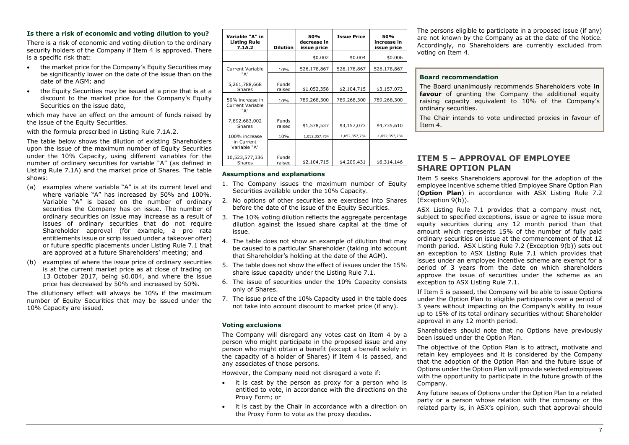### **Is there a risk of economic and voting dilution to you?**

There is a risk of economic and voting dilution to the ordinary security holders of the Company if Item 4 is approved. There is a specific risk that:

- the market price for the Company's Equity Securities may be significantly lower on the date of the issue than on the date of the AGM; and
- the Equity Securities may be issued at a price that is at a discount to the market price for the Company's Equity Securities on the issue date,

which may have an effect on the amount of funds raised by the issue of the Equity Securities.

with the formula prescribed in Listing Rule 7.1A.2.

The table below shows the dilution of existing Shareholders upon the issue of the maximum number of Equity Securities under the 10% Capacity, using different variables for the number of ordinary securities for variable "A" (as defined in Listing Rule 7.1A) and the market price of Shares. The table shows:

- (a) examples where variable "A" is at its current level and where variable "A" has increased by 50% and 100%. Variable "A" is based on the number of ordinary securities the Company has on issue. The number of ordinary securities on issue may increase as a result of issues of ordinary securities that do not require Shareholder approval (for example, a pro rata entitlements issue or scrip issued under a takeover offer) or future specific placements under Listing Rule 7.1 that are approved at a future Shareholders' meeting; and
- (b) examples of where the issue price of ordinary securities is at the current market price as at close of trading on 13 October 2017, being \$0.004, and where the issue price has decreased by 50% and increased by 50%.

The dilutionary effect will always be 10% if the maximum number of Equity Securities that may be issued under the 10% Capacity are issued.

| Variable "A" in<br><b>Listing Rule</b><br>7.1A.2 | <b>Dilution</b>        | 50%<br>decrease in<br>issue price | <b>Issue Price</b> | 50%<br>increase in<br>issue price |
|--------------------------------------------------|------------------------|-----------------------------------|--------------------|-----------------------------------|
|                                                  |                        | \$0.002                           | \$0.004            | \$0.006                           |
| <b>Current Variable</b><br>"А"                   | 10%                    | 526,178,867                       | 526,178,867        | 526,178,867                       |
| 5,261,788,668<br>Shares                          | <b>Funds</b><br>raised | \$1,052,358                       | \$2,104,715        | \$3,157,073                       |
| 50% increase in                                  | 10%                    | 789,268,300                       | 789,268,300        | 789,268,300                       |
| <b>Current Variable</b><br>"А"                   |                        |                                   |                    |                                   |
| 7,892,683,002<br><b>Shares</b>                   | <b>Funds</b><br>raised | \$1,578,537                       | \$3,157,073        | \$4,735,610                       |
| 100% increase                                    | 10%                    | 1,052,357,734                     | 1,052,357,734      | 1,052,357,734                     |
| in Current<br>Variable "A"                       |                        |                                   |                    |                                   |
| 10,523,577,336<br><b>Shares</b>                  | Funds<br>raised        | \$2,104,715                       | \$4,209,431        | \$6,314,146                       |

### **Assumptions and explanations**

- 1. The Company issues the maximum number of Equity Securities available under the 10% Capacity.
- 2. No options of other securities are exercised into Shares before the date of the issue of the Equity Securities.
- 3. The 10% voting dilution reflects the aggregate percentage dilution against the issued share capital at the time of issue.
- 4. The table does not show an example of dilution that may be caused to a particular Shareholder (taking into account that Shareholder's holding at the date of the AGM).
- 5. The table does not show the effect of issues under the 15% share issue capacity under the Listing Rule 7.1.
- 6. The issue of securities under the 10% Capacity consists only of Shares.
- 7. The issue price of the 10% Capacity used in the table does not take into account discount to market price (if any).

### **Voting exclusions**

The Company will disregard any votes cast on Item 4 by a person who might participate in the proposed issue and any person who might obtain a benefit (except a benefit solely in the capacity of a holder of Shares) if Item 4 is passed, and any associates of those persons.

However, the Company need not disregard a vote if:

- it is cast by the person as proxy for a person who is entitled to vote, in accordance with the directions on the Proxy Form; or
- it is cast by the Chair in accordance with a direction on the Proxy Form to vote as the proxy decides.

The persons eligible to participate in a proposed issue (if any) are not known by the Company as at the date of the Notice. Accordingly, no Shareholders are currently excluded from voting on Item 4.

## **Board recommendation**

The Board unanimously recommends Shareholders vote **in favour** of granting the Company the additional equity raising capacity equivalent to 10% of the Company's ordinary securities.

The Chair intends to vote undirected proxies in favour of Item 4.

## <span id="page-7-0"></span>**ITEM 5 – APPROVAL OF EMPLOYEE SHARE OPTION PLAN**

Item 5 seeks Shareholders approval for the adoption of the employee incentive scheme titled Employee Share Option Plan (**Option Plan**) in accordance with ASX Listing Rule 7.2 (Exception 9(b)).

ASX Listing Rule 7.1 provides that a company must not, subject to specified exceptions, issue or agree to issue more equity securities during any 12 month period than that amount which represents 15% of the number of fully paid ordinary securities on issue at the commencement of that 12 month period. ASX Listing Rule 7.2 (Exception 9(b)) sets out an exception to ASX Listing Rule 7.1 which provides that issues under an employee incentive scheme are exempt for a period of 3 years from the date on which shareholders approve the issue of securities under the scheme as an exception to ASX Listing Rule 7.1.

If Item 5 is passed, the Company will be able to issue Options under the Option Plan to eligible participants over a period of 3 years without impacting on the Company's ability to issue up to 15% of its total ordinary securities without Shareholder approval in any 12 month period.

Shareholders should note that no Options have previously been issued under the Option Plan.

The objective of the Option Plan is to attract, motivate and retain key employees and it is considered by the Company that the adoption of the Option Plan and the future issue of Options under the Option Plan will provide selected employees with the opportunity to participate in the future growth of the Company.

Any future issues of Options under the Option Plan to a related party or a person whose relation with the company or the related party is, in ASX's opinion, such that approval should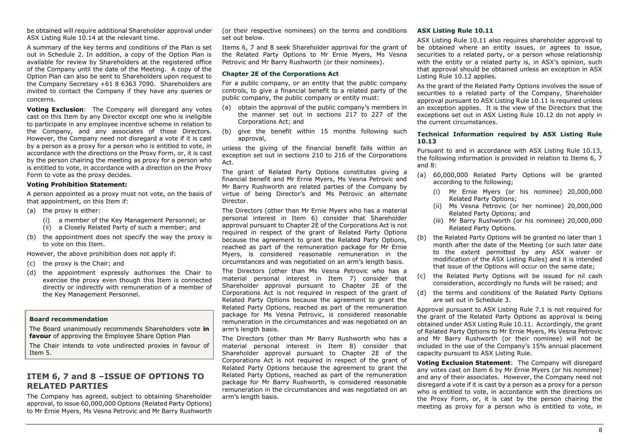be obtained will require additional Shareholder approval under ASX Listing Rule 10.14 at the relevant time.

A summary of the key terms and conditions of the Plan is set out in Schedule 2. In addition, a copy of the Option Plan is available for review by Shareholders at the registered office of the Company until the date of the Meeting. A copy of the Option Plan can also be sent to Shareholders upon request to the Company Secretary +61 8 6363 7090. Shareholders are invited to contact the Company if they have any queries or concerns.

**Voting Exclusion**: The Company will disregard any votes cast on this Item by any Director except one who is ineligible to participate in any employee incentive scheme in relation to the Company, and any associates of those Directors. However, the Company need not disregard a vote if it is cast by a person as a proxy for a person who is entitled to vote, in accordance with the directions on the Proxy Form, or, it is cast by the person chairing the meeting as proxy for a person who is entitled to vote, in accordance with a direction on the Proxy Form to vote as the proxy decides.

#### **Voting Prohibition Statement:**

A person appointed as a proxy must not vote, on the basis of that appointment, on this Item if:

- (a) the proxy is either:
	- (i) a member of the Key Management Personnel; or
	- (ii) a Closely Related Party of such a member; and
- (b) the appointment does not specify the way the proxy is to vote on this Item.

However, the above prohibition does not apply if:

- (c) the proxy is the Chair; and
- (d) the appointment expressly authorises the Chair to exercise the proxy even though this Item is connected directly or indirectly with remuneration of a member of the Key Management Personnel.

#### **Board recommendation**

The Board unanimously recommends Shareholders vote **in favour** of approving the Employee Share Option Plan

The Chair intends to vote undirected proxies in favour of Item 5.

## <span id="page-8-2"></span><span id="page-8-1"></span><span id="page-8-0"></span>**ITEM 6, 7 and 8 –ISSUE OF OPTIONS TO RELATED PARTIES**

The Company has agreed, subject to obtaining Shareholder approval, to issue 60,000,000 Options (Related Party Options) to Mr Ernie Myers, Ms Vesna Petrovic and Mr Barry Rushworth

(or their respective nominees) on the terms and conditions set out below.

Items 6, 7 and 8 seek Shareholder approval for the grant of the Related Party Options to Mr Ernie Myers, Ms Vesna Petrovic and Mr Barry Rushworth (or their nominees).

#### **Chapter 2E of the Corporations Act**

For a public company, or an entity that the public company controls, to give a financial benefit to a related party of the public company, the public company or entity must:

- (a) obtain the approval of the public company's members in the manner set out in sections 217 to 227 of the Corporations Act; and
- (b) give the benefit within 15 months following such approval,

unless the giving of the financial benefit falls within an exception set out in sections 210 to 216 of the Corporations Act.

The grant of Related Party Options constitutes giving a financial benefit and Mr Ernie Myers, Ms Vesna Petrovic and Mr Barry Rushworth are related parties of the Company by virtue of being Director's and Ms Petrovic an alternate Director.

The Directors (other than Mr Ernie Myers who has a material personal interest in Item 6) consider that Shareholder approval pursuant to Chapter 2E of the Corporations Act is not required in respect of the grant of Related Party Options because the agreement to grant the Related Party Options, reached as part of the remuneration package for Mr Ernie Myers, is considered reasonable remuneration in the circumstances and was negotiated on an arm's length basis.

The Directors (other than Ms Vesna Petrovic who has a material personal interest in Item 7) consider that Shareholder approval pursuant to Chapter 2E of the Corporations Act is not required in respect of the grant of Related Party Options because the agreement to grant the Related Party Options, reached as part of the remuneration package for Ms Vesna Petrovic, is considered reasonable remuneration in the circumstances and was negotiated on an arm's length basis.

The Directors (other than Mr Barry Rushworth who has a material personal interest in Item 8) consider that Shareholder approval pursuant to Chapter 2E of the Corporations Act is not required in respect of the grant of Related Party Options because the agreement to grant the Related Party Options, reached as part of the remuneration package for Mr Barry Rushworth, is considered reasonable remuneration in the circumstances and was negotiated on an arm's length basis.

#### **ASX Listing Rule 10.11**

ASX Listing Rule 10.11 also requires shareholder approval to be obtained where an entity issues, or agrees to issue, securities to a related party, or a person whose relationship with the entity or a related party is, in ASX's opinion, such that approval should be obtained unless an exception in ASX Listing Rule 10.12 applies.

As the grant of the Related Party Options involves the issue of securities to a related party of the Company, Shareholder approval pursuant to ASX Listing Rule 10.11 is required unless an exception applies. It is the view of the Directors that the exceptions set out in ASX Listing Rule 10.12 do not apply in the current circumstances.

#### **Technical Information required by ASX Listing Rule 10.13**

Pursuant to and in accordance with ASX Listing Rule 10.13, the following information is provided in relation to Items 6, 7 and 8:

- (a) 60,000,000 Related Party Options will be granted according to the following;
	- (i) Mr Ernie Myers (or his nominee) 20,000,000 Related Party Options;
	- (ii) Ms Vesna Petrovic (or her nominee) 20,000,000 Related Party Options; and
	- (iii) Mr Barry Rushworth (or his nominee) 20,000,000 Related Party Options.
- (b) the Related Party Options will be granted no later than 1 month after the date of the Meeting (or such later date to the extent permitted by any ASX waiver or modification of the ASX Listing Rules) and it is intended that issue of the Options will occur on the same date;
- (c) the Related Party Options will be issued for nil cash consideration, accordingly no funds will be raised; and
- (d) the terms and conditions of the Related Party Options are set out in Schedule 3.

Approval pursuant to ASX Listing Rule 7.1 is not required for the grant of the Related Party Options as approval is being obtained under ASX Listing Rule 10.11. Accordingly, the grant of Related Party Options to Mr Ernie Myers, Ms Vesna Petrovic and Mr Barry Rushworth (or their nominee) will not be included in the use of the Company's 15% annual placement capacity pursuant to ASX Listing Rule.

**Voting Exclusion Statement**: The Company will disregard any votes cast on Item 6 by Mr Ernie Myers (or his nominee) and any of their associates. However, the Company need not disregard a vote if it is cast by a person as a proxy for a person who is entitled to vote, in accordance with the directions on the Proxy Form, or, it is cast by the person chairing the meeting as proxy for a person who is entitled to vote, in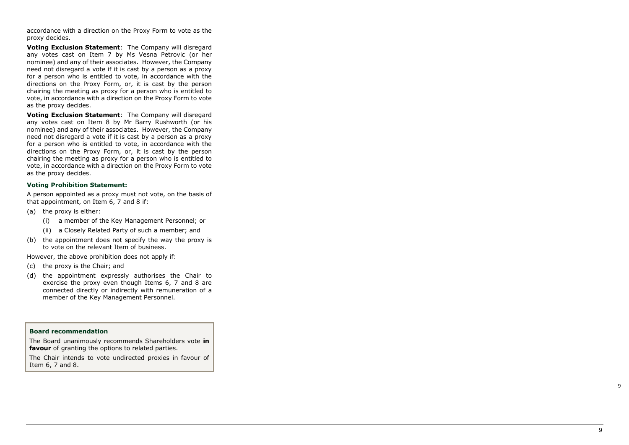accordance with a direction on the Proxy Form to vote as the proxy decides.

**Voting Exclusion Statement**: The Company will disregard any votes cast on Item 7 by Ms Vesna Petrovic (or her nominee) and any of their associates. However, the Company need not disregard a vote if it is cast by a person as a proxy for a person who is entitled to vote, in accordance with the directions on the Proxy Form, or, it is cast by the person chairing the meeting as proxy for a person who is entitled to vote, in accordance with a direction on the Proxy Form to vote as the proxy decides.

**Voting Exclusion Statement**: The Company will disregard any votes cast on Item 8 by Mr Barry Rushworth (or his nominee) and any of their associates. However, the Company need not disregard a vote if it is cast by a person as a proxy for a person who is entitled to vote, in accordance with the directions on the Proxy Form, or, it is cast by the person chairing the meeting as proxy for a person who is entitled to vote, in accordance with a direction on the Proxy Form to vote as the proxy decides.

#### **Voting Prohibition Statement:**

A person appointed as a proxy must not vote, on the basis of that appointment, on Item 6, 7 and 8 if:

- (a) the proxy is either:
	- (i) a member of the Key Management Personnel; or
	- (ii) a Closely Related Party of such a member; and
- (b) the appointment does not specify the way the proxy is to vote on the relevant Item of business.

However, the above prohibition does not apply if:

- (c) the proxy is the Chair; and
- (d) the appointment expressly authorises the Chair to exercise the proxy even though Items 6, 7 and 8 are connected directly or indirectly with remuneration of a member of the Key Management Personnel.

#### **Board recommendation**

The Board unanimously recommends Shareholders vote **in favour** of granting the options to related parties .

The Chair intends to vote undirected proxies in favour of Item 6, 7 and 8.

 $\alpha$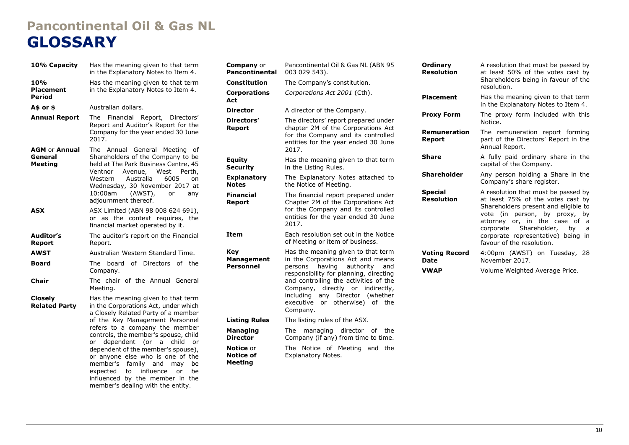## **Pancontinental Oil & Gas NL GLOSSARY**

| 10% Capacity                                      | Has the meaning given to that term<br>in the Explanatory Notes to Item 4.                                                                                                                                                                                                                   | Compa<br>Pancor                                                                       |
|---------------------------------------------------|---------------------------------------------------------------------------------------------------------------------------------------------------------------------------------------------------------------------------------------------------------------------------------------------|---------------------------------------------------------------------------------------|
| 10%<br><b>Placement</b>                           | Has the meaning given to that term<br>in the Explanatory Notes to Item 4.                                                                                                                                                                                                                   | Constit<br>Corpor                                                                     |
| Period                                            |                                                                                                                                                                                                                                                                                             | Act                                                                                   |
| A\$ or \$                                         | Australian dollars.                                                                                                                                                                                                                                                                         | <b>Directo</b>                                                                        |
| <b>Annual Report</b>                              | The<br>Financial Report, Directors'<br>Report and Auditor's Report for the<br>Company for the year ended 30 June<br>2017.                                                                                                                                                                   | <b>Directo</b><br>Report                                                              |
| <b>AGM or Annual</b><br>General<br><b>Meeting</b> | The Annual General<br>Meeting<br>оf<br>Shareholders of the Company to be<br>held at The Park Business Centre, 45<br>West<br>Avenue,<br>Ventnor<br>Perth,<br>Australia<br>Western<br>6005<br>on<br>Wednesday, 30 November 2017 at<br>10:00am<br>(AWST),<br>or<br>any<br>adjournment thereof. | <b>Equity</b><br><b>Securit</b><br><b>Explan</b><br><b>Notes</b><br>Financi<br>Report |
| <b>ASX</b>                                        | ASX Limited (ABN 98 008 624 691),<br>or as the context requires, the<br>financial market operated by it.                                                                                                                                                                                    |                                                                                       |
| Auditor's<br><b>Report</b>                        | The auditor's report on the Financial<br>Report.                                                                                                                                                                                                                                            | <b>Item</b>                                                                           |
| <b>AWST</b>                                       | Australian Western Standard Time.                                                                                                                                                                                                                                                           | Key                                                                                   |
| Board                                             | board of Directors of the<br>The<br>Company.                                                                                                                                                                                                                                                | Manag<br>Person                                                                       |
| Chair                                             | The chair of the Annual General<br>Meeting.                                                                                                                                                                                                                                                 |                                                                                       |
| <b>Closely</b><br><b>Related Party</b>            | Has the meaning given to that term<br>in the Corporations Act, under which<br>a Closely Related Party of a member                                                                                                                                                                           |                                                                                       |
|                                                   | of the Key Management Personnel                                                                                                                                                                                                                                                             | Listing                                                                               |
|                                                   | refers to a company the member<br>controls, the member's spouse, child<br>dependent (or<br>a<br>child<br>or<br>or                                                                                                                                                                           | Managi<br>Directo                                                                     |
|                                                   | dependent of the member's spouse),<br>or anyone else who is one of the<br>member's<br>family and<br>be<br>may<br>influence<br>to<br>expected<br>or<br>be<br>influenced by the member in the                                                                                                 | Notice<br>Notice<br>Meetin                                                            |

member's dealing with the entity.

| <b>Company</b> or<br>Pancontinental      | Pancontinental Oil & Gas NL (ABN 95<br>003 029 543).                                                                                                                                                                                                                                                                                                |  |  |
|------------------------------------------|-----------------------------------------------------------------------------------------------------------------------------------------------------------------------------------------------------------------------------------------------------------------------------------------------------------------------------------------------------|--|--|
| <b>Constitution</b>                      | The Company's constitution.                                                                                                                                                                                                                                                                                                                         |  |  |
| <b>Corporations</b><br>Act               | Corporations Act 2001 (Cth).                                                                                                                                                                                                                                                                                                                        |  |  |
| <b>Director</b>                          | A director of the Company.                                                                                                                                                                                                                                                                                                                          |  |  |
| Directors'<br>Report                     | The directors' report prepared under<br>chapter 2M of the Corporations Act<br>for the Company and its controlled<br>entities for the year ended 30 June<br>2017.                                                                                                                                                                                    |  |  |
| <b>Equity</b><br><b>Security</b>         | Has the meaning given to that term<br>in the Listing Rules.                                                                                                                                                                                                                                                                                         |  |  |
| <b>Explanatory</b><br><b>Notes</b>       | The Explanatory Notes attached to<br>the Notice of Meeting.                                                                                                                                                                                                                                                                                         |  |  |
| <b>Financial</b><br>Report               | The financial report prepared under<br>Chapter 2M of the Corporations Act<br>for the Company and its controlled<br>entities for the year ended 30 June<br>2017.                                                                                                                                                                                     |  |  |
| Item                                     | Each resolution set out in the Notice<br>of Meeting or item of business.                                                                                                                                                                                                                                                                            |  |  |
| Key<br><b>Management</b><br>Personnel    | Has the meaning given to that term<br>in the Corporations Act and means<br>having<br>authority<br>persons<br>and<br>responsibility for planning, directing<br>and controlling the activities of the<br>directly or<br>Company,<br>indirectly,<br>including<br>Director<br>(whether<br>any<br>otherwise)<br>executive<br>of<br>or<br>the<br>Company. |  |  |
| <b>Listing Rules</b>                     | The listing rules of the ASX.                                                                                                                                                                                                                                                                                                                       |  |  |
| Managing<br><b>Director</b>              | <b>The</b><br>managing director of<br>the<br>Company (if any) from time to time.                                                                                                                                                                                                                                                                    |  |  |
| Notice or<br><b>Notice of</b><br>Meeting | The<br>Notice<br>of Meeting and<br>the<br>Explanatory Notes.                                                                                                                                                                                                                                                                                        |  |  |

| Ordinary<br><b>Resolution</b>       | A resolution that must be passed by<br>at least 50% of the votes cast by<br>Shareholders being in favour of the<br>resolution.                                                                                                                                                             |
|-------------------------------------|--------------------------------------------------------------------------------------------------------------------------------------------------------------------------------------------------------------------------------------------------------------------------------------------|
| <b>Placement</b>                    | Has the meaning given to that term<br>in the Explanatory Notes to Item 4.                                                                                                                                                                                                                  |
| <b>Proxy Form</b>                   | The proxy form included with this<br>Notice.                                                                                                                                                                                                                                               |
| <b>Remuneration</b><br>Report       | The remuneration report forming<br>part of the Directors' Report in the<br>Annual Report.                                                                                                                                                                                                  |
| <b>Share</b>                        | A fully paid ordinary share in the<br>capital of the Company.                                                                                                                                                                                                                              |
| <b>Shareholder</b>                  | Any person holding a Share in the<br>Company's share register.                                                                                                                                                                                                                             |
| <b>Special</b><br><b>Resolution</b> | A resolution that must be passed by<br>at least 75% of the votes cast by<br>Shareholders present and eligible to<br>vote (in person, by proxy, by<br>attorney or, in the case of<br>a<br>corporate Shareholder, by<br>a<br>corporate representative) being in<br>favour of the resolution. |
| <b>Voting Record</b><br>Date        | 4:00pm (AWST) on Tuesday,<br>-28<br>November 2017.                                                                                                                                                                                                                                         |
| <b>VWAP</b>                         | Volume Weighted Average Price.                                                                                                                                                                                                                                                             |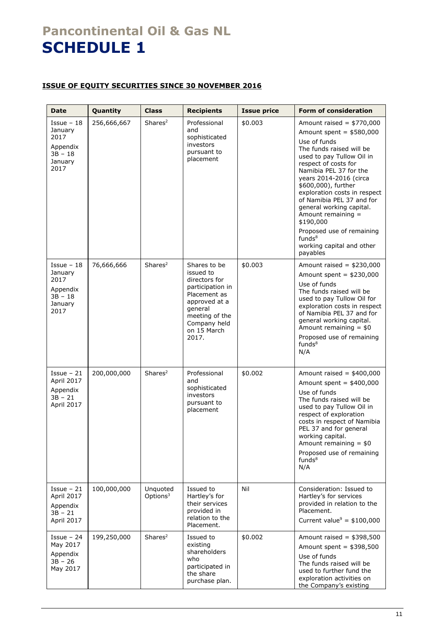## **Pancontinental Oil & Gas NL SCHEDULE 1**

## **ISSUE OF EQUITY SECURITIES SINCE 30 NOVEMBER 2016**

| <b>Date</b>                                                                  | Quantity    | <b>Class</b>                     | <b>Recipients</b>                                                                                                                                                    | <b>Issue price</b> | <b>Form of consideration</b>                                                                                                                                                                                                                                                                                                                                                                                                                                |
|------------------------------------------------------------------------------|-------------|----------------------------------|----------------------------------------------------------------------------------------------------------------------------------------------------------------------|--------------------|-------------------------------------------------------------------------------------------------------------------------------------------------------------------------------------------------------------------------------------------------------------------------------------------------------------------------------------------------------------------------------------------------------------------------------------------------------------|
| $I$ ssue - 18<br>January<br>2017<br>Appendix<br>$3B - 18$<br>January<br>2017 | 256,666,667 | Shares <sup>2</sup>              | Professional<br>and<br>sophisticated<br>investors<br>pursuant to<br>placement                                                                                        | \$0.003            | Amount raised = $$770,000$<br>Amount spent = $$580,000$<br>Use of funds<br>The funds raised will be<br>used to pay Tullow Oil in<br>respect of costs for<br>Namibia PEL 37 for the<br>years 2014-2016 (circa<br>\$600,000), further<br>exploration costs in respect<br>of Namibia PEL 37 and for<br>general working capital.<br>Amount remaining =<br>\$190,000<br>Proposed use of remaining<br>funds <sup>8</sup><br>working capital and other<br>payables |
| $I$ ssue - 18<br>January<br>2017<br>Appendix<br>$3B - 18$<br>January<br>2017 | 76,666,666  | Shares <sup>2</sup>              | Shares to be<br>issued to<br>directors for<br>participation in<br>Placement as<br>approved at a<br>general<br>meeting of the<br>Company held<br>on 15 March<br>2017. | \$0.003            | Amount raised = $$230,000$<br>Amount spent = $$230,000$<br>Use of funds<br>The funds raised will be<br>used to pay Tullow Oil for<br>exploration costs in respect<br>of Namibia PEL 37 and for<br>general working capital.<br>Amount remaining $= $0$<br>Proposed use of remaining<br>funds <sup>8</sup><br>N/A                                                                                                                                             |
| $I$ ssue - 21<br>April 2017<br>Appendix<br>$3B - 21$<br>April 2017           | 200,000,000 | Shares <sup>2</sup>              | Professional<br>and<br>sophisticated<br>investors<br>pursuant to<br>placement                                                                                        | \$0.002            | Amount raised = $$400,000$<br>Amount spent = $$400,000$<br>Use of funds<br>The funds raised will be<br>used to pay Tullow Oil in<br>respect of exploration<br>costs in respect of Namibia<br>PEL 37 and for general<br>working capital.<br>Amount remaining $= $0$<br>Proposed use of remaining<br>$f$ unds $8$<br>N/A                                                                                                                                      |
| $I$ ssue - 21<br>April 2017<br>Appendix<br>$3B - 21$<br>April 2017           | 100,000,000 | Unquoted<br>Options <sup>3</sup> | Issued to<br>Hartley's for<br>their services<br>provided in<br>relation to the<br>Placement.                                                                         | Nil                | Consideration: Issued to<br>Hartley's for services<br>provided in relation to the<br>Placement.<br>Current value <sup>9</sup> = $$100,000$                                                                                                                                                                                                                                                                                                                  |
| $I$ ssue - 24<br>May 2017<br>Appendix<br>$3B - 26$<br>May 2017               | 199,250,000 | Shares <sup>2</sup>              | Issued to<br>existing<br>shareholders<br>who<br>participated in<br>the share<br>purchase plan.                                                                       | \$0.002            | Amount raised = $$398,500$<br>Amount spent = $$398,500$<br>Use of funds<br>The funds raised will be<br>used to further fund the<br>exploration activities on<br>the Company's existing                                                                                                                                                                                                                                                                      |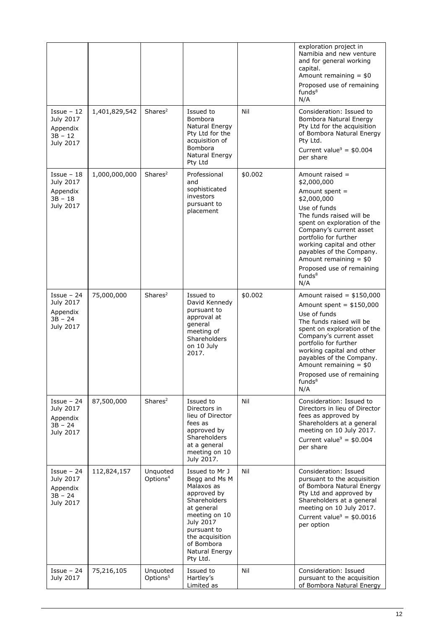|                                                                  |               |                                  |                                                                                                                                                                                                        |         | exploration project in<br>Namibia and new venture<br>and for general working<br>capital.<br>Amount remaining $= $0$<br>Proposed use of remaining<br>funds <sup>8</sup><br>N/A                                                                                                                                                                |
|------------------------------------------------------------------|---------------|----------------------------------|--------------------------------------------------------------------------------------------------------------------------------------------------------------------------------------------------------|---------|----------------------------------------------------------------------------------------------------------------------------------------------------------------------------------------------------------------------------------------------------------------------------------------------------------------------------------------------|
| $I$ ssue - 12<br>July 2017<br>Appendix<br>$3B - 12$<br>July 2017 | 1,401,829,542 | Shares <sup>2</sup>              | Issued to<br>Bombora<br>Natural Energy<br>Pty Ltd for the<br>acquisition of<br><b>Bombora</b><br>Natural Energy<br>Pty Ltd                                                                             | Nil     | Consideration: Issued to<br>Bombora Natural Energy<br>Pty Ltd for the acquisition<br>of Bombora Natural Energy<br>Pty Ltd.<br>Current value <sup>9</sup> = $$0.004$<br>per share                                                                                                                                                             |
| $I$ ssue - 18<br>July 2017<br>Appendix<br>$3B - 18$<br>July 2017 | 1,000,000,000 | Shares <sup>2</sup>              | Professional<br>and<br>sophisticated<br>investors<br>pursuant to<br>placement                                                                                                                          | \$0.002 | Amount raised =<br>\$2,000,000<br>Amount spent =<br>\$2,000,000<br>Use of funds<br>The funds raised will be<br>spent on exploration of the<br>Company's current asset<br>portfolio for further<br>working capital and other<br>payables of the Company.<br>Amount remaining $= $0$<br>Proposed use of remaining<br>funds <sup>8</sup><br>N/A |
| $I$ ssue - 24<br>July 2017<br>Appendix<br>$3B - 24$<br>July 2017 | 75,000,000    | Shares <sup>2</sup>              | Issued to<br>David Kennedy<br>pursuant to<br>approval at<br>general<br>meeting of<br>Shareholders<br>on 10 July<br>2017.                                                                               | \$0.002 | Amount raised = $$150,000$<br>Amount spent = $$150,000$<br>Use of funds<br>The funds raised will be<br>spent on exploration of the<br>Company's current asset<br>portfolio for further<br>working capital and other<br>payables of the Company.<br>Amount remaining $= $0$<br>Proposed use of remaining<br>funds <sup>8</sup><br>N/A         |
| $Isue - 24$<br>July 2017<br>Appendix<br>$3B - 24$<br>July 2017   | 87,500,000    | Shares <sup>2</sup>              | Issued to<br>Directors in<br>lieu of Director<br>fees as<br>approved by<br>Shareholders<br>at a general<br>meeting on 10<br>July 2017.                                                                 | Nil     | Consideration: Issued to<br>Directors in lieu of Director<br>fees as approved by<br>Shareholders at a general<br>meeting on 10 July 2017.<br>Current value <sup>9</sup> = $$0.004$<br>per share                                                                                                                                              |
| $I$ ssue - 24<br>July 2017<br>Appendix<br>$3B - 24$<br>July 2017 | 112,824,157   | Unquoted<br>Options <sup>4</sup> | Issued to Mr J<br>Begg and Ms M<br>Malaxos as<br>approved by<br>Shareholders<br>at general<br>meeting on 10<br>July 2017<br>pursuant to<br>the acquisition<br>of Bombora<br>Natural Energy<br>Pty Ltd. | Nil     | Consideration: Issued<br>pursuant to the acquisition<br>of Bombora Natural Energy<br>Pty Ltd and approved by<br>Shareholders at a general<br>meeting on 10 July 2017.<br>Current value <sup>9</sup> = $$0.0016$<br>per option                                                                                                                |
| $Isue - 24$<br>July 2017                                         | 75,216,105    | Unquoted<br>Options <sup>5</sup> | Issued to<br>Hartley's<br>Limited as                                                                                                                                                                   | Nil     | Consideration: Issued<br>pursuant to the acquisition<br>of Bombora Natural Energy                                                                                                                                                                                                                                                            |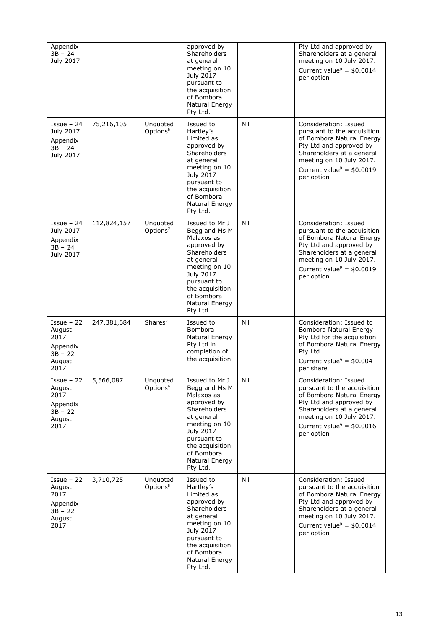| Appendix<br>$3B - 24$<br>July 2017                                         |             |                                  | approved by<br>Shareholders<br>at general<br>meeting on 10<br>July 2017<br>pursuant to<br>the acquisition<br>of Bombora<br>Natural Energy<br>Pty Ltd.                                                         |     | Pty Ltd and approved by<br>Shareholders at a general<br>meeting on 10 July 2017.<br>Current value <sup>9</sup> = $$0.0014$<br>per option                                                                                      |
|----------------------------------------------------------------------------|-------------|----------------------------------|---------------------------------------------------------------------------------------------------------------------------------------------------------------------------------------------------------------|-----|-------------------------------------------------------------------------------------------------------------------------------------------------------------------------------------------------------------------------------|
| $I$ ssue - 24<br>July 2017<br>Appendix<br>$3B - 24$<br>July 2017           | 75,216,105  | Unquoted<br>Options <sup>6</sup> | Issued to<br>Hartley's<br>Limited as<br>approved by<br>Shareholders<br>at general<br>meeting on 10<br>July 2017<br>pursuant to<br>the acquisition<br>of Bombora<br>Natural Energy<br>Pty Ltd.                 | Nil | Consideration: Issued<br>pursuant to the acquisition<br>of Bombora Natural Energy<br>Pty Ltd and approved by<br>Shareholders at a general<br>meeting on 10 July 2017.<br>Current value <sup>9</sup> = $$0.0019$<br>per option |
| $I$ ssue - 24<br>July 2017<br>Appendix<br>$3B - 24$<br>July 2017           | 112,824,157 | Unquoted<br>Options <sup>7</sup> | Issued to Mr J<br>Begg and Ms M<br>Malaxos as<br>approved by<br>Shareholders<br>at general<br>meeting on 10<br>July 2017<br>pursuant to<br>the acquisition<br>of Bombora<br>Natural Energy<br>Pty Ltd.        | Nil | Consideration: Issued<br>pursuant to the acquisition<br>of Bombora Natural Energy<br>Pty Ltd and approved by<br>Shareholders at a general<br>meeting on 10 July 2017.<br>Current value <sup>9</sup> = $$0.0019$<br>per option |
| $I$ ssue - 22<br>August<br>2017<br>Appendix<br>$3B - 22$<br>August<br>2017 | 247,381,684 | Shares <sup>2</sup>              | Issued to<br><b>Bombora</b><br>Natural Energy<br>Pty Ltd in<br>completion of<br>the acquisition.                                                                                                              | Nil | Consideration: Issued to<br>Bombora Natural Energy<br>Pty Ltd for the acquisition<br>of Bombora Natural Energy<br>Pty Ltd.<br>Current value <sup>9</sup> = $$0.004$<br>per share                                              |
| $I$ ssue - 22<br>August<br>2017<br>Appendix<br>$3B - 22$<br>August<br>2017 | 5,566,087   | Unquoted<br>Options <sup>4</sup> | Issued to Mr J<br>Begg and Ms M<br>Malaxos as<br>approved by<br><b>Shareholders</b><br>at general<br>meeting on 10<br>July 2017<br>pursuant to<br>the acquisition<br>of Bombora<br>Natural Energy<br>Pty Ltd. | Nil | Consideration: Issued<br>pursuant to the acquisition<br>of Bombora Natural Energy<br>Pty Ltd and approved by<br>Shareholders at a general<br>meeting on 10 July 2017.<br>Current value <sup>9</sup> = $$0.0016$<br>per option |
| $I$ ssue - 22<br>August<br>2017<br>Appendix<br>$3B - 22$<br>August<br>2017 | 3,710,725   | Unquoted<br>Options <sup>5</sup> | Issued to<br>Hartley's<br>Limited as<br>approved by<br>Shareholders<br>at general<br>meeting on 10<br>July 2017<br>pursuant to<br>the acquisition<br>of Bombora<br>Natural Energy<br>Pty Ltd.                 | Nil | Consideration: Issued<br>pursuant to the acquisition<br>of Bombora Natural Energy<br>Pty Ltd and approved by<br>Shareholders at a general<br>meeting on 10 July 2017.<br>Current value <sup>9</sup> = $$0.0014$<br>per option |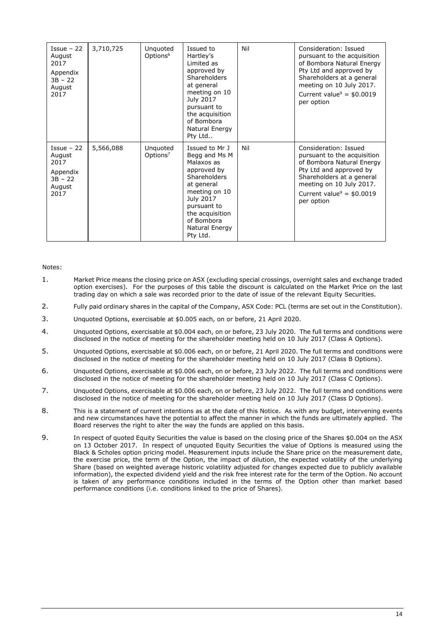| $I$ ssue – 22<br>August<br>2017<br>Appendix<br>$3B - 22$<br>August<br>2017 | 3,710,725 | Unquoted<br>Options <sup>6</sup> | Issued to<br>Hartley's<br>Limited as<br>approved by<br><b>Shareholders</b><br>at general<br>meeting on 10<br>July 2017<br>pursuant to<br>the acquisition<br>of Bombora<br>Natural Energy<br>Pty Ltd           | Nil | Consideration: Issued<br>pursuant to the acquisition<br>of Bombora Natural Energy<br>Pty Ltd and approved by<br>Shareholders at a general<br>meeting on 10 July 2017.<br>Current value <sup>9</sup> = $$0.0019$<br>per option |
|----------------------------------------------------------------------------|-----------|----------------------------------|---------------------------------------------------------------------------------------------------------------------------------------------------------------------------------------------------------------|-----|-------------------------------------------------------------------------------------------------------------------------------------------------------------------------------------------------------------------------------|
| $I$ ssue – 22<br>August<br>2017<br>Appendix<br>$3B - 22$<br>August<br>2017 | 5,566,088 | Unquoted<br>Options <sup>7</sup> | Issued to Mr J<br>Begg and Ms M<br>Malaxos as<br>approved by<br><b>Shareholders</b><br>at general<br>meeting on 10<br>July 2017<br>pursuant to<br>the acquisition<br>of Bombora<br>Natural Energy<br>Pty Ltd. | Nil | Consideration: Issued<br>pursuant to the acquisition<br>of Bombora Natural Energy<br>Pty Ltd and approved by<br>Shareholders at a general<br>meeting on 10 July 2017.<br>Current value <sup>9</sup> = $$0.0019$<br>per option |

## Notes:

- 1. Market Price means the closing price on ASX (excluding special crossings, overnight sales and exchange traded option exercises). For the purposes of this table the discount is calculated on the Market Price on the last trading day on which a sale was recorded prior to the date of issue of the relevant Equity Securities.
- 2. Fully paid ordinary shares in the capital of the Company, ASX Code: PCL (terms are set out in the Constitution).
- 3. Unquoted Options, exercisable at \$0.005 each, on or before, 21 April 2020.
- 4. Unquoted Options, exercisable at \$0.004 each, on or before, 23 July 2020. The full terms and conditions were disclosed in the notice of meeting for the shareholder meeting held on 10 July 2017 (Class A Options).
- 5. Unquoted Options, exercisable at \$0.006 each, on or before, 21 April 2020. The full terms and conditions were disclosed in the notice of meeting for the shareholder meeting held on 10 July 2017 (Class B Options).
- 6. Unquoted Options, exercisable at \$0.006 each, on or before, 23 July 2022. The full terms and conditions were disclosed in the notice of meeting for the shareholder meeting held on 10 July 2017 (Class C Options).
- 7. Unquoted Options, exercisable at \$0.006 each, on or before, 23 July 2022. The full terms and conditions were disclosed in the notice of meeting for the shareholder meeting held on 10 July 2017 (Class D Options).
- 8. This is a statement of current intentions as at the date of this Notice. As with any budget, intervening events and new circumstances have the potential to affect the manner in which the funds are ultimately applied. The Board reserves the right to alter the way the funds are applied on this basis.
- 9. In respect of quoted Equity Securities the value is based on the closing price of the Shares \$0.004 on the ASX on 13 October 2017. In respect of unquoted Equity Securities the value of Options is measured using the Black & Scholes option pricing model. Measurement inputs include the Share price on the measurement date, the exercise price, the term of the Option, the impact of dilution, the expected volatility of the underlying Share (based on weighted average historic volatility adjusted for changes expected due to publicly available information), the expected dividend yield and the risk free interest rate for the term of the Option. No account is taken of any performance conditions included in the terms of the Option other than market based performance conditions (i.e. conditions linked to the price of Shares).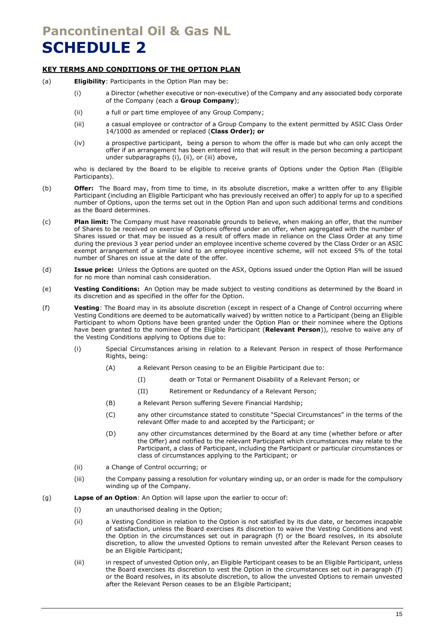## **Pancontinental Oil & Gas NL SCHEDULE 2**

## **KEY TERMS AND CONDITIONS OF THE OPTION PLAN**

- <span id="page-15-2"></span><span id="page-15-1"></span><span id="page-15-0"></span>(a) **Eligibility**: Participants in the Option Plan may be:
	- (i) a Director (whether executive or non-executive) of the Company and any associated body corporate of the Company (each a **Group Company**);
	- (ii) a full or part time employee of any Group Company;
	- (iii) a casual employee or contractor of a Group Company to the extent permitted by ASIC Class Order 14/1000 as amended or replaced (**Class Order); or**
	- (iv) a prospective participant, being a person to whom the offer is made but who can only accept the offer if an arrangement has been entered into that will result in the person becoming a participant under subparagraphs [\(i\),](#page-15-0) [\(ii\),](#page-15-1) or [\(iii\)](#page-15-2) above,

who is declared by the Board to be eligible to receive grants of Options under the Option Plan (Eligible Participants).

- (b) **Offer:** The Board may, from time to time, in its absolute discretion, make a written offer to any Eligible Participant (including an Eligible Participant who has previously received an offer) to apply for up to a specified number of Options, upon the terms set out in the Option Plan and upon such additional terms and conditions as the Board determines.
- (c) **Plan limit:** The Company must have reasonable grounds to believe, when making an offer, that the number of Shares to be received on exercise of Options offered under an offer, when aggregated with the number of Shares issued or that may be issued as a result of offers made in reliance on the Class Order at any time during the previous 3 year period under an employee incentive scheme covered by the Class Order or an ASIC exempt arrangement of a similar kind to an employee incentive scheme, will not exceed 5% of the total number of Shares on issue at the date of the offer.
- (d) **Issue price:** Unless the Options are quoted on the ASX, Options issued under the Option Plan will be issued for no more than nominal cash consideration.
- (e) **Vesting Conditions:** An Option may be made subject to vesting conditions as determined by the Board in its discretion and as specified in the offer for the Option.
- <span id="page-15-3"></span>(f) **Vesting**: The Board may in its absolute discretion (except in respect of a Change of Control occurring where Vesting Conditions are deemed to be automatically waived) by written notice to a Participant (being an Eligible Participant to whom Options have been granted under the Option Plan or their nominee where the Options have been granted to the nominee of the Eligible Participant (**Relevant Person**)), resolve to waive any of the Vesting Conditions applying to Options due to:
	- (i) Special Circumstances arising in relation to a Relevant Person in respect of those Performance Rights, being:
		- (A) a Relevant Person ceasing to be an Eligible Participant due to:
			- (I) death or Total or Permanent Disability of a Relevant Person; or
			- (II) Retirement or Redundancy of a Relevant Person;
		- (B) a Relevant Person suffering Severe Financial Hardship;
		- (C) any other circumstance stated to constitute "Special Circumstances" in the terms of the relevant Offer made to and accepted by the Participant; or
		- (D) any other circumstances determined by the Board at any time (whether before or after the Offer) and notified to the relevant Participant which circumstances may relate to the Participant, a class of Participant, including the Participant or particular circumstances or class of circumstances applying to the Participant; or
	- (ii) a Change of Control occurring; or
	- (iii) the Company passing a resolution for voluntary winding up, or an order is made for the compulsory winding up of the Company.
- (g) **Lapse of an Option**: An Option will lapse upon the earlier to occur of:
	- (i) an unauthorised dealing in the Option;
	- (ii) a Vesting Condition in relation to the Option is not satisfied by its due date, or becomes incapable of satisfaction, unless the Board exercises its discretion to waive the Vesting Conditions and vest the Option in the circumstances set out in paragraph [\(f\)](#page-15-3) or the Board resolves, in its absolute discretion, to allow the unvested Options to remain unvested after the Relevant Person ceases to be an Eligible Participant;
	- (iii) in respect of unvested Option only, an Eligible Participant ceases to be an Eligible Participant, unless the Board exercises its discretion to vest the Option in the circumstances set out in paragraph [\(f\)](#page-15-3) or the Board resolves, in its absolute discretion, to allow the unvested Options to remain unvested after the Relevant Person ceases to be an Eligible Participant;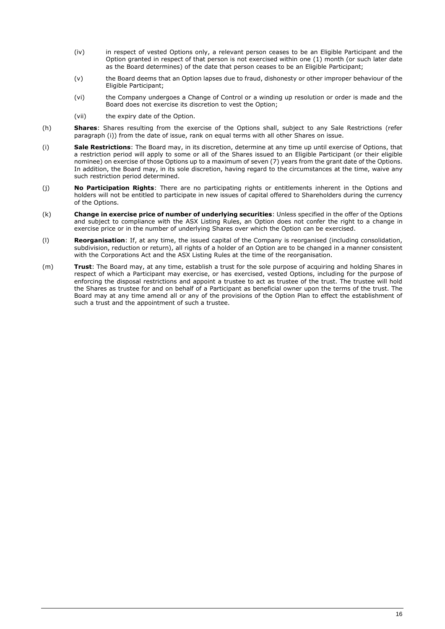- (iv) in respect of vested Options only, a relevant person ceases to be an Eligible Participant and the Option granted in respect of that person is not exercised within one (1) month (or such later date as the Board determines) of the date that person ceases to be an Eligible Participant;
- (v) the Board deems that an Option lapses due to fraud, dishonesty or other improper behaviour of the Eligible Participant;
- (vi) the Company undergoes a Change of Control or a winding up resolution or order is made and the Board does not exercise its discretion to vest the Option;
- (vii) the expiry date of the Option.
- (h) **Shares**: Shares resulting from the exercise of the Options shall, subject to any Sale Restrictions (refer paragraph [\(i\)\)](#page-16-0) from the date of issue, rank on equal terms with all other Shares on issue.
- <span id="page-16-0"></span>(i) **Sale Restrictions**: The Board may, in its discretion, determine at any time up until exercise of Options, that a restriction period will apply to some or all of the Shares issued to an Eligible Participant (or their eligible nominee) on exercise of those Options up to a maximum of seven (7) years from the grant date of the Options. In addition, the Board may, in its sole discretion, having regard to the circumstances at the time, waive any such restriction period determined.
- (j) **No Participation Rights**: There are no participating rights or entitlements inherent in the Options and holders will not be entitled to participate in new issues of capital offered to Shareholders during the currency of the Options.
- (k) **Change in exercise price of number of underlying securities**: Unless specified in the offer of the Options and subject to compliance with the ASX Listing Rules, an Option does not confer the right to a change in exercise price or in the number of underlying Shares over which the Option can be exercised.
- (l) **Reorganisation**: If, at any time, the issued capital of the Company is reorganised (including consolidation, subdivision, reduction or return), all rights of a holder of an Option are to be changed in a manner consistent with the Corporations Act and the ASX Listing Rules at the time of the reorganisation.
- (m) **Trust**: The Board may, at any time, establish a trust for the sole purpose of acquiring and holding Shares in respect of which a Participant may exercise, or has exercised, vested Options, including for the purpose of enforcing the disposal restrictions and appoint a trustee to act as trustee of the trust. The trustee will hold the Shares as trustee for and on behalf of a Participant as beneficial owner upon the terms of the trust. The Board may at any time amend all or any of the provisions of the Option Plan to effect the establishment of such a trust and the appointment of such a trustee.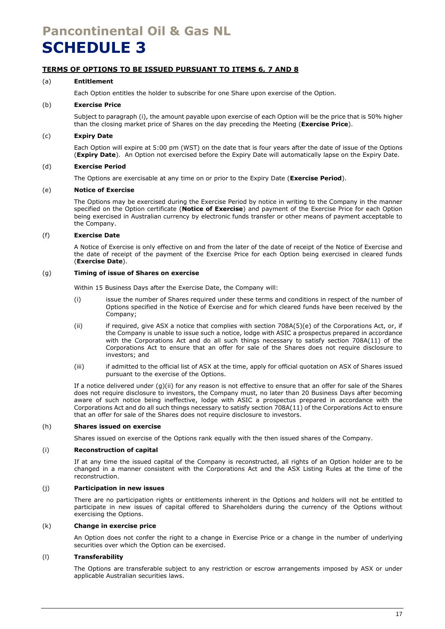## **Pancontinental Oil & Gas NL SCHEDULE 3**

## **TERMS OF OPTIONS TO BE ISSUED PURSUANT TO ITEMS 6, 7 AND 8**

### (a) **Entitlement**

Each Option entitles the holder to subscribe for one Share upon exercise of the Option.

## (b) **Exercise Price**

Subject to paragraph [\(i\),](#page-17-0) the amount payable upon exercise of each Option will be the price that is 50% higher than the closing market price of Shares on the day preceding the Meeting (**Exercise Price**).

### (c) **Expiry Date**

Each Option will expire at 5:00 pm (WST) on the date that is four years after the date of issue of the Options (**Expiry Date**). An Option not exercised before the Expiry Date will automatically lapse on the Expiry Date.

### (d) **Exercise Period**

The Options are exercisable at any time on or prior to the Expiry Date (**Exercise Period**).

#### (e) **Notice of Exercise**

The Options may be exercised during the Exercise Period by notice in writing to the Company in the manner specified on the Option certificate (**Notice of Exercise**) and payment of the Exercise Price for each Option being exercised in Australian currency by electronic funds transfer or other means of payment acceptable to the Company.

### (f) **Exercise Date**

A Notice of Exercise is only effective on and from the later of the date of receipt of the Notice of Exercise and the date of receipt of the payment of the Exercise Price for each Option being exercised in cleared funds (**Exercise Date**).

## <span id="page-17-1"></span>(g) **Timing of issue of Shares on exercise**

Within 15 Business Days after the Exercise Date, the Company will:

- (i) issue the number of Shares required under these terms and conditions in respect of the number of Options specified in the Notice of Exercise and for which cleared funds have been received by the Company;
- <span id="page-17-2"></span>(ii) if required, give ASX a notice that complies with section 708A(5)(e) of the Corporations Act, or, if the Company is unable to issue such a notice, lodge with ASIC a prospectus prepared in accordance with the Corporations Act and do all such things necessary to satisfy section 708A(11) of the Corporations Act to ensure that an offer for sale of the Shares does not require disclosure to investors; and
- (iii) if admitted to the official list of ASX at the time, apply for official quotation on ASX of Shares issued pursuant to the exercise of the Options.

If a notice delivered under [\(g\)](#page-17-1)[\(ii\)](#page-17-2) for any reason is not effective to ensure that an offer for sale of the Shares does not require disclosure to investors, the Company must, no later than 20 Business Days after becoming aware of such notice being ineffective, lodge with ASIC a prospectus prepared in accordance with the Corporations Act and do all such things necessary to satisfy section 708A(11) of the Corporations Act to ensure that an offer for sale of the Shares does not require disclosure to investors.

#### (h) **Shares issued on exercise**

Shares issued on exercise of the Options rank equally with the then issued shares of the Company.

#### <span id="page-17-0"></span>(i) **Reconstruction of capital**

If at any time the issued capital of the Company is reconstructed, all rights of an Option holder are to be changed in a manner consistent with the Corporations Act and the ASX Listing Rules at the time of the reconstruction.

#### (j) **Participation in new issues**

There are no participation rights or entitlements inherent in the Options and holders will not be entitled to participate in new issues of capital offered to Shareholders during the currency of the Options without exercising the Options.

## (k) **Change in exercise price**

An Option does not confer the right to a change in Exercise Price or a change in the number of underlying securities over which the Option can be exercised.

### (l) **Transferability**

The Options are transferable subject to any restriction or escrow arrangements imposed by ASX or under applicable Australian securities laws.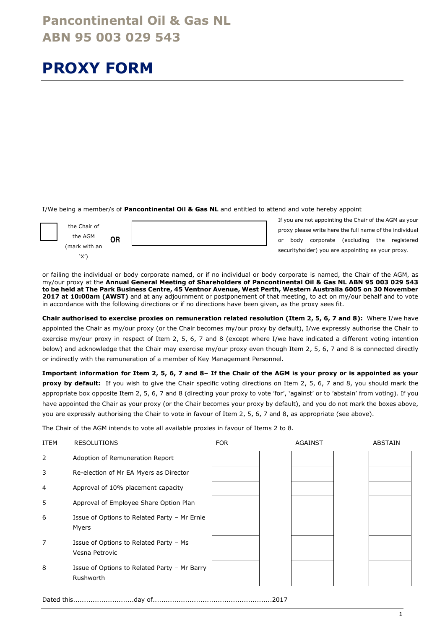## **PROXY FORM**

I/We being a member/s of **Pancontinental Oil & Gas NL** and entitled to attend and vote hereby appoint



If you are not appointing the Chair of the AGM as your proxy please write here the full name of the individual or body corporate (excluding the registered securityholder) you are appointing as your proxy.

or failing the individual or body corporate named, or if no individual or body corporate is named, the Chair of the AGM, as my/our proxy at the **Annual General Meeting of Shareholders of Pancontinental Oil & Gas NL ABN 95 003 029 543 to be held at The Park Business Centre, 45 Ventnor Avenue, West Perth, Western Australia 6005 on 30 November 2017 at 10:00am (AWST)** and at any adjournment or postponement of that meeting, to act on my/our behalf and to vote in accordance with the following directions or if no directions have been given, as the proxy sees fit.

**Chair authorised to exercise proxies on remuneration related resolution (Item 2, 5, 6, 7 and 8):** Where I/we have appointed the Chair as my/our proxy (or the Chair becomes my/our proxy by default), I/we expressly authorise the Chair to exercise my/our proxy in respect of Item 2, 5, 6, 7 and 8 (except where I/we have indicated a different voting intention below) and acknowledge that the Chair may exercise my/our proxy even though Item 2, 5, 6, 7 and 8 is connected directly or indirectly with the remuneration of a member of Key Management Personnel.

**Important information for Item 2, 5, 6, 7 and 8– If the Chair of the AGM is your proxy or is appointed as your proxy by default:** If you wish to give the Chair specific voting directions on Item 2, 5, 6, 7 and 8, you should mark the appropriate box opposite Item 2, 5, 6, 7 and 8 (directing your proxy to vote 'for', 'against' or to 'abstain' from voting). If you have appointed the Chair as your proxy (or the Chair becomes your proxy by default), and you do not mark the boxes above, you are expressly authorising the Chair to vote in favour of Item 2, 5, 6, 7 and 8, as appropriate (see above).

The Chair of the AGM intends to vote all available proxies in favour of Items 2 to 8.

| ITEM | <b>RESOLUTIONS</b>                                        | <b>FOR</b> | <b>AGAINST</b> | <b>ABSTAIN</b> |
|------|-----------------------------------------------------------|------------|----------------|----------------|
| 2    | Adoption of Remuneration Report                           |            |                |                |
| 3    | Re-election of Mr EA Myers as Director                    |            |                |                |
| 4    | Approval of 10% placement capacity                        |            |                |                |
| 5    | Approval of Employee Share Option Plan                    |            |                |                |
| 6    | Issue of Options to Related Party - Mr Ernie<br>Myers     |            |                |                |
| 7    | Issue of Options to Related Party - Ms<br>Vesna Petrovic  |            |                |                |
| 8    | Issue of Options to Related Party - Mr Barry<br>Rushworth |            |                |                |

Dated this............................day of.......................................................2017